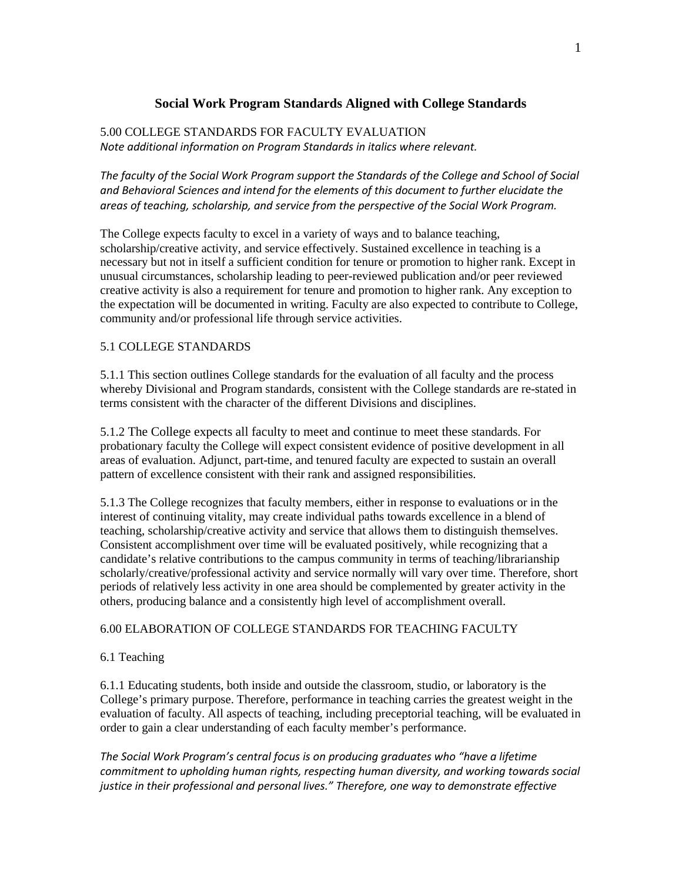# **Social Work Program Standards Aligned with College Standards**

## 5.00 COLLEGE STANDARDS FOR FACULTY EVALUATION *Note additional information on Program Standards in italics where relevant.*

*The faculty of the Social Work Program support the Standards of the College and School of Social and Behavioral Sciences and intend for the elements of this document to further elucidate the areas of teaching, scholarship, and service from the perspective of the Social Work Program.*

The College expects faculty to excel in a variety of ways and to balance teaching, scholarship/creative activity, and service effectively. Sustained excellence in teaching is a necessary but not in itself a sufficient condition for tenure or promotion to higher rank. Except in unusual circumstances, scholarship leading to peer-reviewed publication and/or peer reviewed creative activity is also a requirement for tenure and promotion to higher rank. Any exception to the expectation will be documented in writing. Faculty are also expected to contribute to College, community and/or professional life through service activities.

### 5.1 COLLEGE STANDARDS

5.1.1 This section outlines College standards for the evaluation of all faculty and the process whereby Divisional and Program standards, consistent with the College standards are re-stated in terms consistent with the character of the different Divisions and disciplines.

5.1.2 The College expects all faculty to meet and continue to meet these standards. For probationary faculty the College will expect consistent evidence of positive development in all areas of evaluation. Adjunct, part-time, and tenured faculty are expected to sustain an overall pattern of excellence consistent with their rank and assigned responsibilities.

5.1.3 The College recognizes that faculty members, either in response to evaluations or in the interest of continuing vitality, may create individual paths towards excellence in a blend of teaching, scholarship/creative activity and service that allows them to distinguish themselves. Consistent accomplishment over time will be evaluated positively, while recognizing that a candidate's relative contributions to the campus community in terms of teaching/librarianship scholarly/creative/professional activity and service normally will vary over time. Therefore, short periods of relatively less activity in one area should be complemented by greater activity in the others, producing balance and a consistently high level of accomplishment overall.

### 6.00 ELABORATION OF COLLEGE STANDARDS FOR TEACHING FACULTY

### 6.1 Teaching

6.1.1 Educating students, both inside and outside the classroom, studio, or laboratory is the College's primary purpose. Therefore, performance in teaching carries the greatest weight in the evaluation of faculty. All aspects of teaching, including preceptorial teaching, will be evaluated in order to gain a clear understanding of each faculty member's performance.

*The Social Work Program's central focus is on producing graduates who "have a lifetime commitment to upholding human rights, respecting human diversity, and working towards social justice in their professional and personal lives." Therefore, one way to demonstrate effective*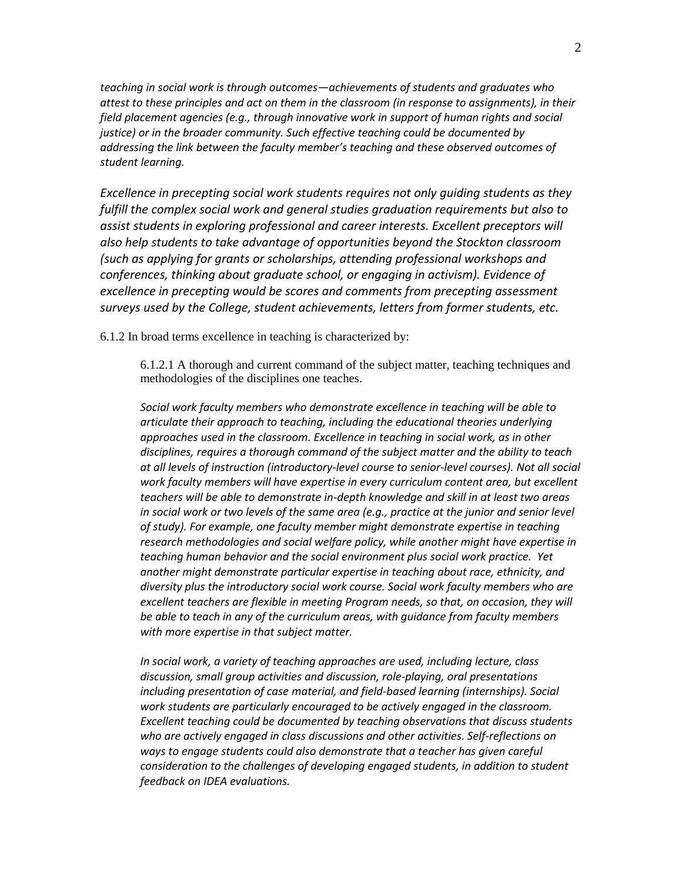*teaching in social work is through outcomes—achievements of students and graduates who attest to these principles and act on them in the classroom (in response to assignments), in their field placement agencies (e.g., through innovative work in support of human rights and social justice) or in the broader community. Such effective teaching could be documented by addressing the link between the faculty member's teaching and these observed outcomes of student learning.* 

*Excellence in precepting social work students requires not only guiding students as they fulfill the complex social work and general studies graduation requirements but also to assist students in exploring professional and career interests. Excellent preceptors will also help students to take advantage of opportunities beyond the Stockton classroom (such as applying for grants or scholarships, attending professional workshops and conferences, thinking about graduate school, or engaging in activism). Evidence of excellence in precepting would be scores and comments from precepting assessment surveys used by the College, student achievements, letters from former students, etc.*

6.1.2 In broad terms excellence in teaching is characterized by:

6.1.2.1 A thorough and current command of the subject matter, teaching techniques and methodologies of the disciplines one teaches.

*Social work faculty members who demonstrate excellence in teaching will be able to articulate their approach to teaching, including the educational theories underlying approaches used in the classroom. Excellence in teaching in social work, as in other disciplines, requires a thorough command of the subject matter and the ability to teach at all levels of instruction (introductory-level course to senior-level courses). Not all social work faculty members will have expertise in every curriculum content area, but excellent teachers will be able to demonstrate in-depth knowledge and skill in at least two areas in social work or two levels of the same area (e.g., practice at the junior and senior level of study). For example, one faculty member might demonstrate expertise in teaching research methodologies and social welfare policy, while another might have expertise in teaching human behavior and the social environment plus social work practice. Yet another might demonstrate particular expertise in teaching about race, ethnicity, and diversity plus the introductory social work course. Social work faculty members who are excellent teachers are flexible in meeting Program needs, so that, on occasion, they will be able to teach in any of the curriculum areas, with guidance from faculty members with more expertise in that subject matter.*

*In social work, a variety of teaching approaches are used, including lecture, class discussion, small group activities and discussion, role-playing, oral presentations including presentation of case material, and field-based learning (internships). Social work students are particularly encouraged to be actively engaged in the classroom. Excellent teaching could be documented by teaching observations that discuss students who are actively engaged in class discussions and other activities. Self-reflections on ways to engage students could also demonstrate that a teacher has given careful consideration to the challenges of developing engaged students, in addition to student feedback on IDEA evaluations.*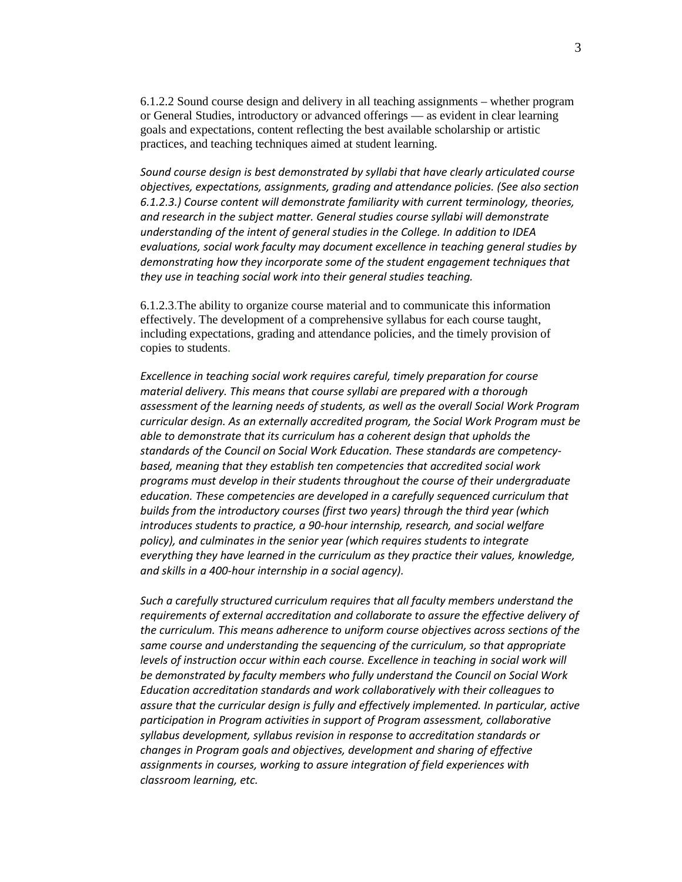6.1.2.2 Sound course design and delivery in all teaching assignments – whether program or General Studies, introductory or advanced offerings — as evident in clear learning goals and expectations, content reflecting the best available scholarship or artistic practices, and teaching techniques aimed at student learning.

*Sound course design is best demonstrated by syllabi that have clearly articulated course objectives, expectations, assignments, grading and attendance policies. (See also section 6.1.2.3.) Course content will demonstrate familiarity with current terminology, theories, and research in the subject matter. General studies course syllabi will demonstrate understanding of the intent of general studies in the College. In addition to IDEA evaluations, social work faculty may document excellence in teaching general studies by demonstrating how they incorporate some of the student engagement techniques that they use in teaching social work into their general studies teaching.*

6.1.2.3.The ability to organize course material and to communicate this information effectively. The development of a comprehensive syllabus for each course taught, including expectations, grading and attendance policies, and the timely provision of copies to students.

*Excellence in teaching social work requires careful, timely preparation for course material delivery. This means that course syllabi are prepared with a thorough assessment of the learning needs of students, as well as the overall Social Work Program curricular design. As an externally accredited program, the Social Work Program must be able to demonstrate that its curriculum has a coherent design that upholds the standards of the Council on Social Work Education. These standards are competencybased, meaning that they establish ten competencies that accredited social work programs must develop in their students throughout the course of their undergraduate education. These competencies are developed in a carefully sequenced curriculum that builds from the introductory courses (first two years) through the third year (which introduces students to practice, a 90-hour internship, research, and social welfare policy), and culminates in the senior year (which requires students to integrate everything they have learned in the curriculum as they practice their values, knowledge, and skills in a 400-hour internship in a social agency).*

*Such a carefully structured curriculum requires that all faculty members understand the requirements of external accreditation and collaborate to assure the effective delivery of the curriculum. This means adherence to uniform course objectives across sections of the same course and understanding the sequencing of the curriculum, so that appropriate levels of instruction occur within each course. Excellence in teaching in social work will be demonstrated by faculty members who fully understand the Council on Social Work Education accreditation standards and work collaboratively with their colleagues to assure that the curricular design is fully and effectively implemented. In particular, active participation in Program activities in support of Program assessment, collaborative syllabus development, syllabus revision in response to accreditation standards or changes in Program goals and objectives, development and sharing of effective assignments in courses, working to assure integration of field experiences with classroom learning, etc.*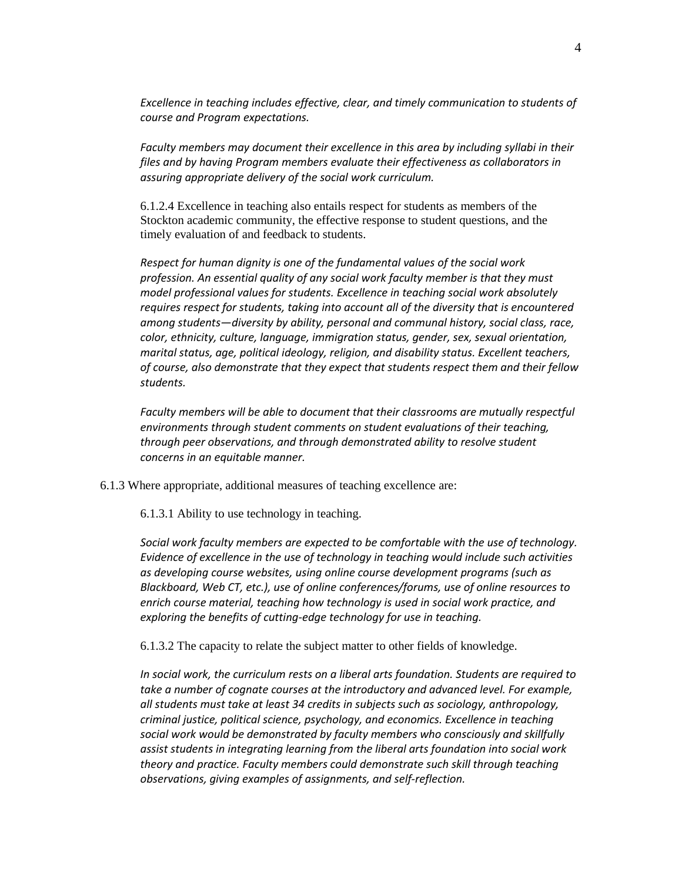*Excellence in teaching includes effective, clear, and timely communication to students of course and Program expectations.*

*Faculty members may document their excellence in this area by including syllabi in their files and by having Program members evaluate their effectiveness as collaborators in assuring appropriate delivery of the social work curriculum.*

6.1.2.4 Excellence in teaching also entails respect for students as members of the Stockton academic community, the effective response to student questions, and the timely evaluation of and feedback to students.

*Respect for human dignity is one of the fundamental values of the social work profession. An essential quality of any social work faculty member is that they must model professional values for students. Excellence in teaching social work absolutely requires respect for students, taking into account all of the diversity that is encountered among students—diversity by ability, personal and communal history, social class, race, color, ethnicity, culture, language, immigration status, gender, sex, sexual orientation, marital status, age, political ideology, religion, and disability status. Excellent teachers, of course, also demonstrate that they expect that students respect them and their fellow students.*

*Faculty members will be able to document that their classrooms are mutually respectful environments through student comments on student evaluations of their teaching, through peer observations, and through demonstrated ability to resolve student concerns in an equitable manner.* 

6.1.3 Where appropriate, additional measures of teaching excellence are:

6.1.3.1 Ability to use technology in teaching.

*Social work faculty members are expected to be comfortable with the use of technology. Evidence of excellence in the use of technology in teaching would include such activities as developing course websites, using online course development programs (such as Blackboard, Web CT, etc.), use of online conferences/forums, use of online resources to enrich course material, teaching how technology is used in social work practice, and exploring the benefits of cutting-edge technology for use in teaching.*

6.1.3.2 The capacity to relate the subject matter to other fields of knowledge.

*In social work, the curriculum rests on a liberal arts foundation. Students are required to take a number of cognate courses at the introductory and advanced level. For example, all students must take at least 34 credits in subjects such as sociology, anthropology, criminal justice, political science, psychology, and economics. Excellence in teaching social work would be demonstrated by faculty members who consciously and skillfully assist students in integrating learning from the liberal arts foundation into social work theory and practice. Faculty members could demonstrate such skill through teaching observations, giving examples of assignments, and self-reflection.*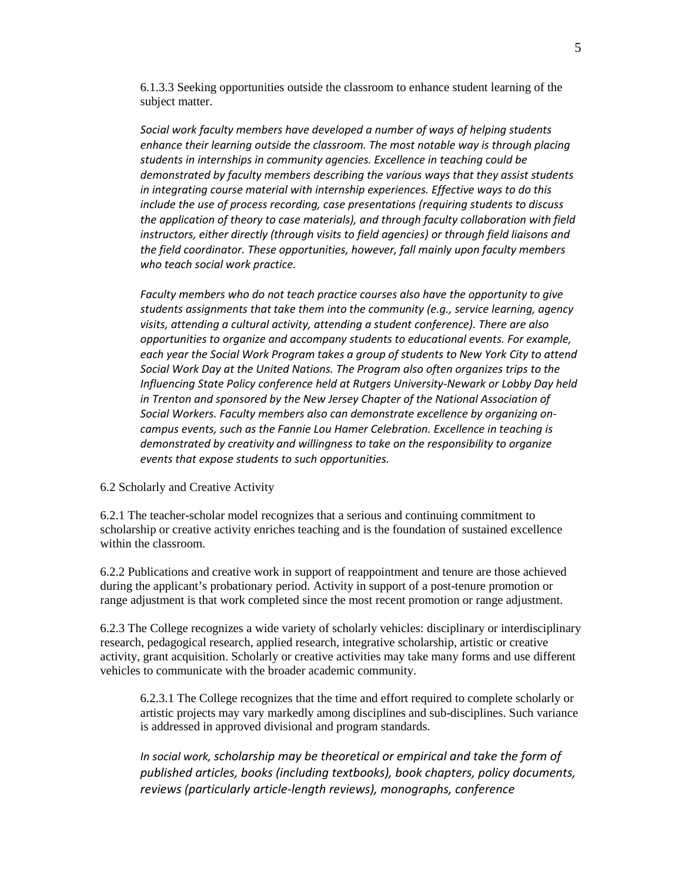6.1.3.3 Seeking opportunities outside the classroom to enhance student learning of the subject matter.

*Social work faculty members have developed a number of ways of helping students enhance their learning outside the classroom. The most notable way is through placing students in internships in community agencies. Excellence in teaching could be demonstrated by faculty members describing the various ways that they assist students in integrating course material with internship experiences. Effective ways to do this include the use of process recording, case presentations (requiring students to discuss the application of theory to case materials), and through faculty collaboration with field instructors, either directly (through visits to field agencies) or through field liaisons and the field coordinator. These opportunities, however, fall mainly upon faculty members who teach social work practice.* 

*Faculty members who do not teach practice courses also have the opportunity to give students assignments that take them into the community (e.g., service learning, agency visits, attending a cultural activity, attending a student conference). There are also opportunities to organize and accompany students to educational events. For example, each year the Social Work Program takes a group of students to New York City to attend Social Work Day at the United Nations. The Program also often organizes trips to the Influencing State Policy conference held at Rutgers University-Newark or Lobby Day held in Trenton and sponsored by the New Jersey Chapter of the National Association of Social Workers. Faculty members also can demonstrate excellence by organizing oncampus events, such as the Fannie Lou Hamer Celebration. Excellence in teaching is demonstrated by creativity and willingness to take on the responsibility to organize events that expose students to such opportunities.*

### 6.2 Scholarly and Creative Activity

6.2.1 The teacher-scholar model recognizes that a serious and continuing commitment to scholarship or creative activity enriches teaching and is the foundation of sustained excellence within the classroom.

6.2.2 Publications and creative work in support of reappointment and tenure are those achieved during the applicant's probationary period. Activity in support of a post-tenure promotion or range adjustment is that work completed since the most recent promotion or range adjustment.

6.2.3 The College recognizes a wide variety of scholarly vehicles: disciplinary or interdisciplinary research, pedagogical research, applied research, integrative scholarship, artistic or creative activity, grant acquisition. Scholarly or creative activities may take many forms and use different vehicles to communicate with the broader academic community.

6.2.3.1 The College recognizes that the time and effort required to complete scholarly or artistic projects may vary markedly among disciplines and sub-disciplines. Such variance is addressed in approved divisional and program standards.

*In social work, scholarship may be theoretical or empirical and take the form of published articles, books (including textbooks), book chapters, policy documents, reviews (particularly article-length reviews), monographs, conference*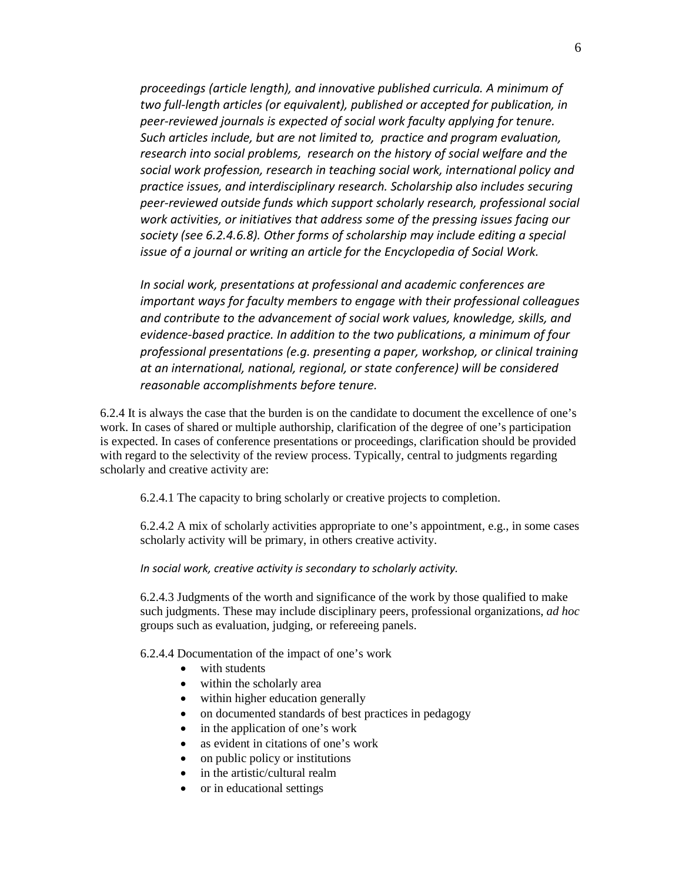*proceedings (article length), and innovative published curricula. A minimum of two full-length articles (or equivalent), published or accepted for publication, in peer-reviewed journals is expected of social work faculty applying for tenure. Such articles include, but are not limited to, practice and program evaluation, research into social problems, research on the history of social welfare and the social work profession, research in teaching social work, international policy and practice issues, and interdisciplinary research. Scholarship also includes securing peer-reviewed outside funds which support scholarly research, professional social work activities, or initiatives that address some of the pressing issues facing our society (see 6.2.4.6.8). Other forms of scholarship may include editing a special issue of a journal or writing an article for the Encyclopedia of Social Work.*

*In social work, presentations at professional and academic conferences are important ways for faculty members to engage with their professional colleagues and contribute to the advancement of social work values, knowledge, skills, and evidence-based practice. In addition to the two publications, a minimum of four professional presentations (e.g. presenting a paper, workshop, or clinical training at an international, national, regional, or state conference) will be considered reasonable accomplishments before tenure.* 

6.2.4 It is always the case that the burden is on the candidate to document the excellence of one's work. In cases of shared or multiple authorship, clarification of the degree of one's participation is expected. In cases of conference presentations or proceedings, clarification should be provided with regard to the selectivity of the review process. Typically, central to judgments regarding scholarly and creative activity are:

6.2.4.1 The capacity to bring scholarly or creative projects to completion.

6.2.4.2 A mix of scholarly activities appropriate to one's appointment, e.g., in some cases scholarly activity will be primary, in others creative activity.

*In social work, creative activity is secondary to scholarly activity.*

6.2.4.3 Judgments of the worth and significance of the work by those qualified to make such judgments. These may include disciplinary peers, professional organizations, *ad hoc*  groups such as evaluation, judging, or refereeing panels.

6.2.4.4 Documentation of the impact of one's work

- with students
- within the scholarly area
- within higher education generally
- on documented standards of best practices in pedagogy
- in the application of one's work
- as evident in citations of one's work
- on public policy or institutions
- in the artistic/cultural realm
- or in educational settings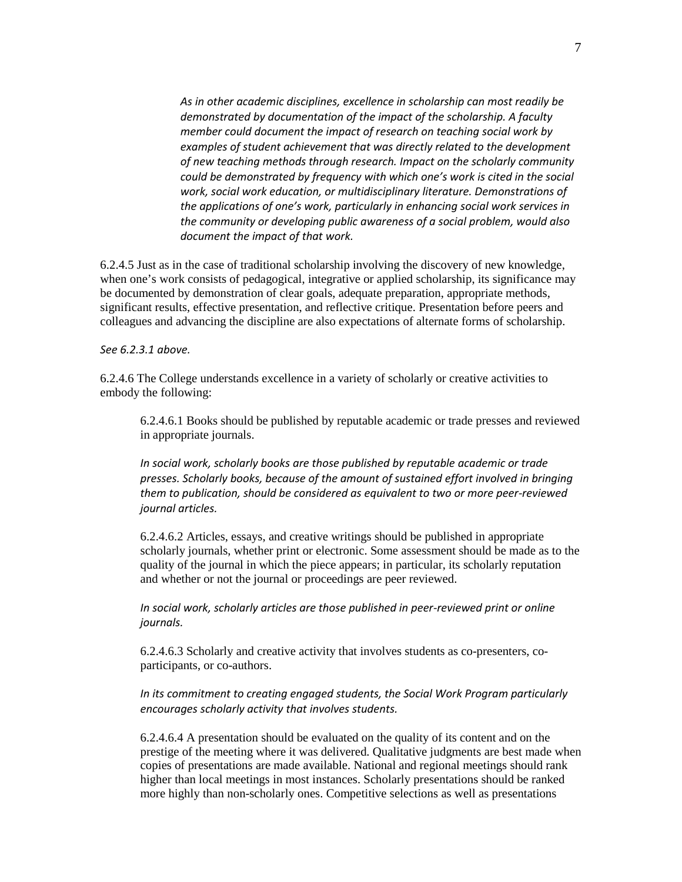*As in other academic disciplines, excellence in scholarship can most readily be demonstrated by documentation of the impact of the scholarship. A faculty member could document the impact of research on teaching social work by examples of student achievement that was directly related to the development of new teaching methods through research. Impact on the scholarly community could be demonstrated by frequency with which one's work is cited in the social work, social work education, or multidisciplinary literature. Demonstrations of the applications of one's work, particularly in enhancing social work services in the community or developing public awareness of a social problem, would also document the impact of that work.* 

6.2.4.5 Just as in the case of traditional scholarship involving the discovery of new knowledge, when one's work consists of pedagogical, integrative or applied scholarship, its significance may be documented by demonstration of clear goals, adequate preparation, appropriate methods, significant results, effective presentation, and reflective critique. Presentation before peers and colleagues and advancing the discipline are also expectations of alternate forms of scholarship.

*See 6.2.3.1 above.*

6.2.4.6 The College understands excellence in a variety of scholarly or creative activities to embody the following:

6.2.4.6.1 Books should be published by reputable academic or trade presses and reviewed in appropriate journals.

*In social work, scholarly books are those published by reputable academic or trade presses. Scholarly books, because of the amount of sustained effort involved in bringing them to publication, should be considered as equivalent to two or more peer-reviewed journal articles.*

6.2.4.6.2 Articles, essays, and creative writings should be published in appropriate scholarly journals, whether print or electronic. Some assessment should be made as to the quality of the journal in which the piece appears; in particular, its scholarly reputation and whether or not the journal or proceedings are peer reviewed.

*In social work, scholarly articles are those published in peer-reviewed print or online journals.*

6.2.4.6.3 Scholarly and creative activity that involves students as co-presenters, coparticipants, or co-authors.

*In its commitment to creating engaged students, the Social Work Program particularly encourages scholarly activity that involves students.*

6.2.4.6.4 A presentation should be evaluated on the quality of its content and on the prestige of the meeting where it was delivered. Qualitative judgments are best made when copies of presentations are made available. National and regional meetings should rank higher than local meetings in most instances. Scholarly presentations should be ranked more highly than non-scholarly ones. Competitive selections as well as presentations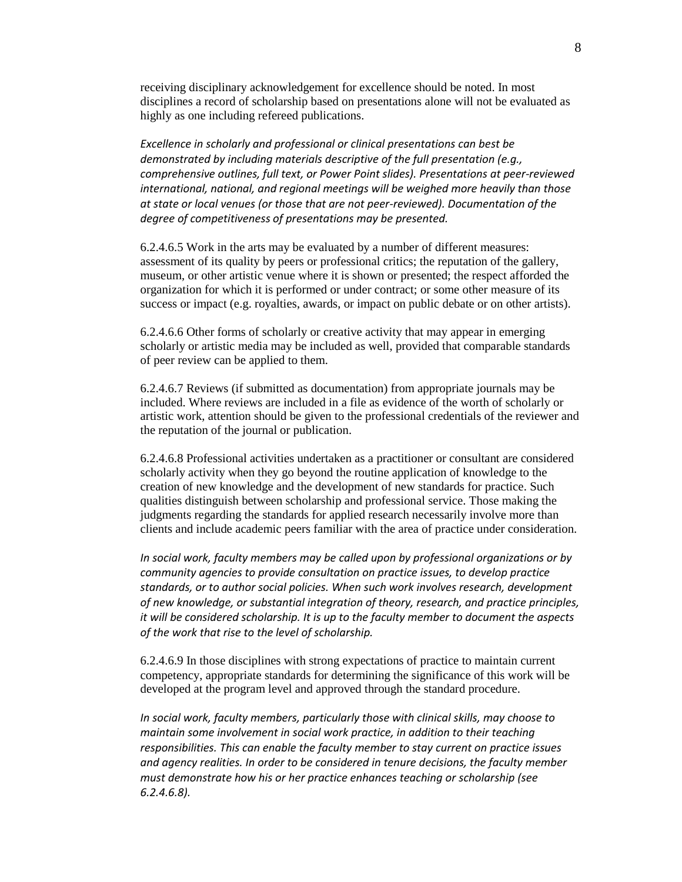receiving disciplinary acknowledgement for excellence should be noted. In most disciplines a record of scholarship based on presentations alone will not be evaluated as highly as one including refereed publications.

*Excellence in scholarly and professional or clinical presentations can best be demonstrated by including materials descriptive of the full presentation (e.g., comprehensive outlines, full text, or Power Point slides). Presentations at peer-reviewed international, national, and regional meetings will be weighed more heavily than those at state or local venues (or those that are not peer-reviewed). Documentation of the degree of competitiveness of presentations may be presented.*

6.2.4.6.5 Work in the arts may be evaluated by a number of different measures: assessment of its quality by peers or professional critics; the reputation of the gallery, museum, or other artistic venue where it is shown or presented; the respect afforded the organization for which it is performed or under contract; or some other measure of its success or impact (e.g. royalties, awards, or impact on public debate or on other artists).

6.2.4.6.6 Other forms of scholarly or creative activity that may appear in emerging scholarly or artistic media may be included as well, provided that comparable standards of peer review can be applied to them.

6.2.4.6.7 Reviews (if submitted as documentation) from appropriate journals may be included. Where reviews are included in a file as evidence of the worth of scholarly or artistic work, attention should be given to the professional credentials of the reviewer and the reputation of the journal or publication.

6.2.4.6.8 Professional activities undertaken as a practitioner or consultant are considered scholarly activity when they go beyond the routine application of knowledge to the creation of new knowledge and the development of new standards for practice. Such qualities distinguish between scholarship and professional service. Those making the judgments regarding the standards for applied research necessarily involve more than clients and include academic peers familiar with the area of practice under consideration.

*In social work, faculty members may be called upon by professional organizations or by community agencies to provide consultation on practice issues, to develop practice standards, or to author social policies. When such work involves research, development of new knowledge, or substantial integration of theory, research, and practice principles, it will be considered scholarship. It is up to the faculty member to document the aspects of the work that rise to the level of scholarship.*

6.2.4.6.9 In those disciplines with strong expectations of practice to maintain current competency, appropriate standards for determining the significance of this work will be developed at the program level and approved through the standard procedure.

*In social work, faculty members, particularly those with clinical skills, may choose to maintain some involvement in social work practice, in addition to their teaching responsibilities. This can enable the faculty member to stay current on practice issues and agency realities. In order to be considered in tenure decisions, the faculty member must demonstrate how his or her practice enhances teaching or scholarship (see 6.2.4.6.8).*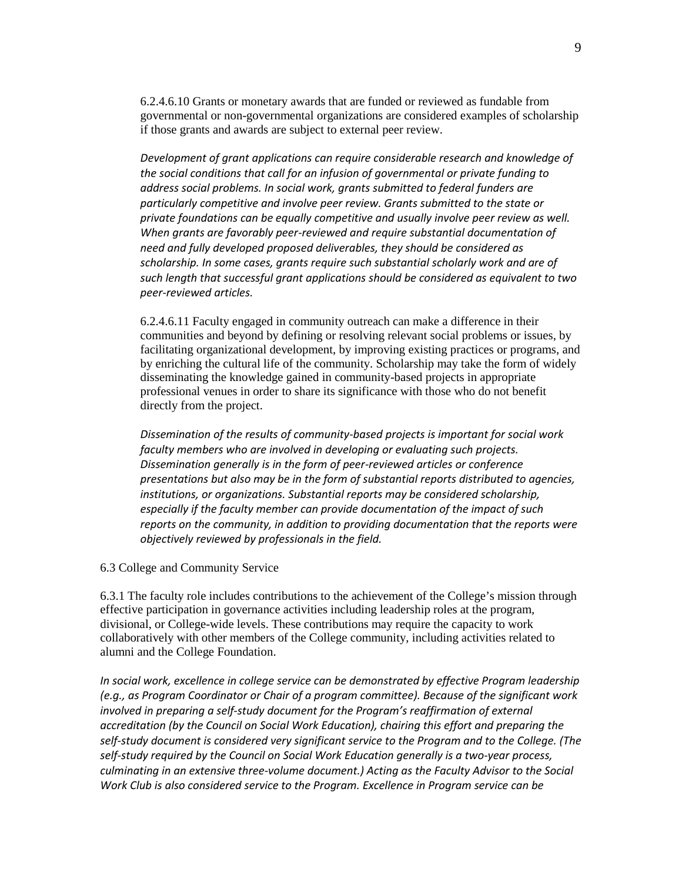6.2.4.6.10 Grants or monetary awards that are funded or reviewed as fundable from governmental or non-governmental organizations are considered examples of scholarship if those grants and awards are subject to external peer review.

*Development of grant applications can require considerable research and knowledge of the social conditions that call for an infusion of governmental or private funding to address social problems. In social work, grants submitted to federal funders are particularly competitive and involve peer review. Grants submitted to the state or private foundations can be equally competitive and usually involve peer review as well. When grants are favorably peer-reviewed and require substantial documentation of need and fully developed proposed deliverables, they should be considered as scholarship. In some cases, grants require such substantial scholarly work and are of such length that successful grant applications should be considered as equivalent to two peer-reviewed articles.*

6.2.4.6.11 Faculty engaged in community outreach can make a difference in their communities and beyond by defining or resolving relevant social problems or issues, by facilitating organizational development, by improving existing practices or programs, and by enriching the cultural life of the community. Scholarship may take the form of widely disseminating the knowledge gained in community-based projects in appropriate professional venues in order to share its significance with those who do not benefit directly from the project.

*Dissemination of the results of community-based projects is important for social work faculty members who are involved in developing or evaluating such projects. Dissemination generally is in the form of peer-reviewed articles or conference presentations but also may be in the form of substantial reports distributed to agencies, institutions, or organizations. Substantial reports may be considered scholarship, especially if the faculty member can provide documentation of the impact of such reports on the community, in addition to providing documentation that the reports were objectively reviewed by professionals in the field.*

6.3 College and Community Service

6.3.1 The faculty role includes contributions to the achievement of the College's mission through effective participation in governance activities including leadership roles at the program, divisional, or College-wide levels. These contributions may require the capacity to work collaboratively with other members of the College community, including activities related to alumni and the College Foundation.

*In social work, excellence in college service can be demonstrated by effective Program leadership (e.g., as Program Coordinator or Chair of a program committee). Because of the significant work involved in preparing a self-study document for the Program's reaffirmation of external accreditation (by the Council on Social Work Education), chairing this effort and preparing the self-study document is considered very significant service to the Program and to the College. (The self-study required by the Council on Social Work Education generally is a two-year process, culminating in an extensive three-volume document.) Acting as the Faculty Advisor to the Social Work Club is also considered service to the Program. Excellence in Program service can be*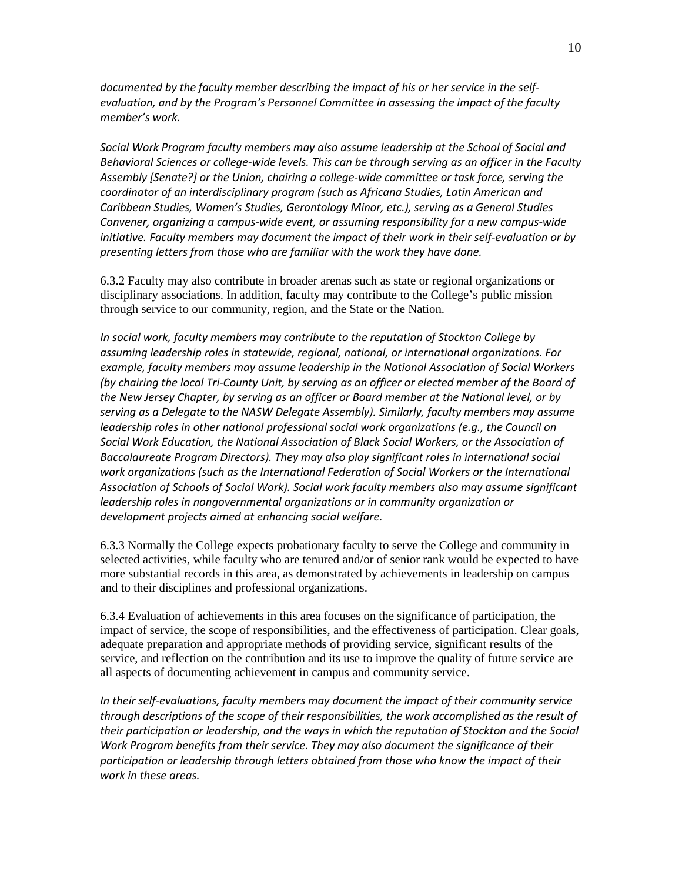*documented by the faculty member describing the impact of his or her service in the selfevaluation, and by the Program's Personnel Committee in assessing the impact of the faculty member's work.*

*Social Work Program faculty members may also assume leadership at the School of Social and Behavioral Sciences or college-wide levels. This can be through serving as an officer in the Faculty Assembly [Senate?] or the Union, chairing a college-wide committee or task force, serving the coordinator of an interdisciplinary program (such as Africana Studies, Latin American and Caribbean Studies, Women's Studies, Gerontology Minor, etc.), serving as a General Studies Convener, organizing a campus-wide event, or assuming responsibility for a new campus-wide initiative. Faculty members may document the impact of their work in their self-evaluation or by presenting letters from those who are familiar with the work they have done.*

6.3.2 Faculty may also contribute in broader arenas such as state or regional organizations or disciplinary associations. In addition, faculty may contribute to the College's public mission through service to our community, region, and the State or the Nation.

*In social work, faculty members may contribute to the reputation of Stockton College by assuming leadership roles in statewide, regional, national, or international organizations. For example, faculty members may assume leadership in the National Association of Social Workers (by chairing the local Tri-County Unit, by serving as an officer or elected member of the Board of the New Jersey Chapter, by serving as an officer or Board member at the National level, or by serving as a Delegate to the NASW Delegate Assembly). Similarly, faculty members may assume leadership roles in other national professional social work organizations (e.g., the Council on Social Work Education, the National Association of Black Social Workers, or the Association of Baccalaureate Program Directors). They may also play significant roles in international social work organizations (such as the International Federation of Social Workers or the International Association of Schools of Social Work). Social work faculty members also may assume significant leadership roles in nongovernmental organizations or in community organization or development projects aimed at enhancing social welfare.* 

6.3.3 Normally the College expects probationary faculty to serve the College and community in selected activities, while faculty who are tenured and/or of senior rank would be expected to have more substantial records in this area, as demonstrated by achievements in leadership on campus and to their disciplines and professional organizations.

6.3.4 Evaluation of achievements in this area focuses on the significance of participation, the impact of service, the scope of responsibilities, and the effectiveness of participation. Clear goals, adequate preparation and appropriate methods of providing service, significant results of the service, and reflection on the contribution and its use to improve the quality of future service are all aspects of documenting achievement in campus and community service.

*In their self-evaluations, faculty members may document the impact of their community service through descriptions of the scope of their responsibilities, the work accomplished as the result of their participation or leadership, and the ways in which the reputation of Stockton and the Social Work Program benefits from their service. They may also document the significance of their participation or leadership through letters obtained from those who know the impact of their work in these areas.*